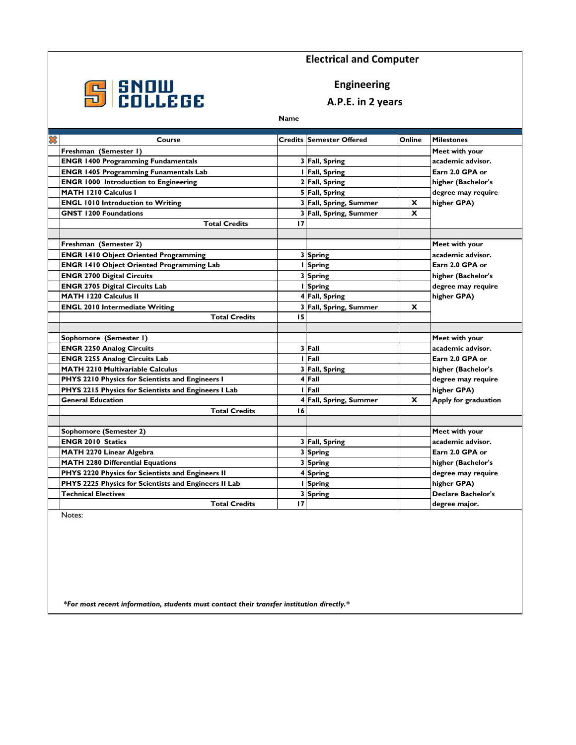## **Electrical and Computer**



**Engineering**

**A.P.E. in 2 years**

**Name**

| <b>Credits Semester Offered</b><br>Online<br>Course<br><b>Milestones</b><br>Freshman (Semester I)<br>Meet with your<br><b>ENGR 1400 Programming Fundamentals</b><br>3 Fall, Spring<br>academic advisor.<br><b>ENGR 1405 Programming Funamentals Lab</b><br>Earn 2.0 GPA or<br><b>Fall, Spring</b><br><b>ENGR 1000 Introduction to Engineering</b><br>2 Fall, Spring<br>higher (Bachelor's |  |
|-------------------------------------------------------------------------------------------------------------------------------------------------------------------------------------------------------------------------------------------------------------------------------------------------------------------------------------------------------------------------------------------|--|
|                                                                                                                                                                                                                                                                                                                                                                                           |  |
|                                                                                                                                                                                                                                                                                                                                                                                           |  |
|                                                                                                                                                                                                                                                                                                                                                                                           |  |
|                                                                                                                                                                                                                                                                                                                                                                                           |  |
|                                                                                                                                                                                                                                                                                                                                                                                           |  |
| MATH 1210 Calculus  <br>5 Fall, Spring<br>degree may require                                                                                                                                                                                                                                                                                                                              |  |
| <b>ENGL 1010 Introduction to Writing</b><br>higher GPA)<br>3 Fall, Spring, Summer<br><b>x</b>                                                                                                                                                                                                                                                                                             |  |
| <b>GNST 1200 Foundations</b><br>X<br>3 Fall, Spring, Summer                                                                                                                                                                                                                                                                                                                               |  |
| <b>Total Credits</b><br>17                                                                                                                                                                                                                                                                                                                                                                |  |
|                                                                                                                                                                                                                                                                                                                                                                                           |  |
| Freshman (Semester 2)<br>Meet with your                                                                                                                                                                                                                                                                                                                                                   |  |
| <b>ENGR 1410 Object Oriented Programming</b><br>academic advisor.<br>3 Spring                                                                                                                                                                                                                                                                                                             |  |
| <b>ENGR 1410 Object Oriented Programming Lab</b><br>Earn 2.0 GPA or<br><b>Spring</b>                                                                                                                                                                                                                                                                                                      |  |
| <b>ENGR 2700 Digital Circuits</b><br>3 Spring<br>higher (Bachelor's                                                                                                                                                                                                                                                                                                                       |  |
| <b>ENGR 2705 Digital Circuits Lab</b><br>degree may require<br><b>Spring</b>                                                                                                                                                                                                                                                                                                              |  |
| <b>MATH 1220 Calculus II</b><br>4 Fall, Spring<br>higher GPA)                                                                                                                                                                                                                                                                                                                             |  |
| 3 Fall, Spring, Summer<br><b>ENGL 2010 Intermediate Writing</b><br><b>X</b>                                                                                                                                                                                                                                                                                                               |  |
| <b>Total Credits</b><br>15                                                                                                                                                                                                                                                                                                                                                                |  |
|                                                                                                                                                                                                                                                                                                                                                                                           |  |
| Meet with your<br>Sophomore (Semester I)                                                                                                                                                                                                                                                                                                                                                  |  |
| 3 Fall<br><b>ENGR 2250 Analog Circuits</b><br>academic advisor.                                                                                                                                                                                                                                                                                                                           |  |
| Fall<br><b>ENGR 2255 Analog Circuits Lab</b><br>Earn 2.0 GPA or                                                                                                                                                                                                                                                                                                                           |  |
| <b>MATH 2210 Multivariable Calculus</b><br>3 Fall, Spring<br>higher (Bachelor's                                                                                                                                                                                                                                                                                                           |  |
| 4 Fall<br>PHYS 2210 Physics for Scientists and Engineers I<br>degree may require                                                                                                                                                                                                                                                                                                          |  |
| Fall<br>higher GPA)<br>PHYS 2215 Physics for Scientists and Engineers I Lab                                                                                                                                                                                                                                                                                                               |  |
| <b>General Education</b><br>4 Fall, Spring, Summer<br><b>X</b><br>Apply for graduation                                                                                                                                                                                                                                                                                                    |  |
| <b>Total Credits</b><br>16                                                                                                                                                                                                                                                                                                                                                                |  |
|                                                                                                                                                                                                                                                                                                                                                                                           |  |
| Meet with your<br>Sophomore (Semester 2)                                                                                                                                                                                                                                                                                                                                                  |  |
| <b>ENGR 2010 Statics</b><br>3 Fall, Spring<br>academic advisor.                                                                                                                                                                                                                                                                                                                           |  |
| Earn 2.0 GPA or<br><b>MATH 2270 Linear Algebra</b><br>3 Spring                                                                                                                                                                                                                                                                                                                            |  |
| <b>MATH 2280 Differential Equations</b><br>3 Spring<br>higher (Bachelor's                                                                                                                                                                                                                                                                                                                 |  |
| PHYS 2220 Physics for Scientists and Engineers II<br>degree may require<br>4 Spring                                                                                                                                                                                                                                                                                                       |  |
| PHYS 2225 Physics for Scientists and Engineers II Lab<br>higher GPA)<br><b>Spring</b>                                                                                                                                                                                                                                                                                                     |  |
| <b>Technical Electives</b><br><b>Declare Bachelor's</b><br>3 Spring                                                                                                                                                                                                                                                                                                                       |  |
| 17<br><b>Total Credits</b><br>degree maior.                                                                                                                                                                                                                                                                                                                                               |  |

Notes:

*\*For most recent information, students must contact their transfer institution directly.\**